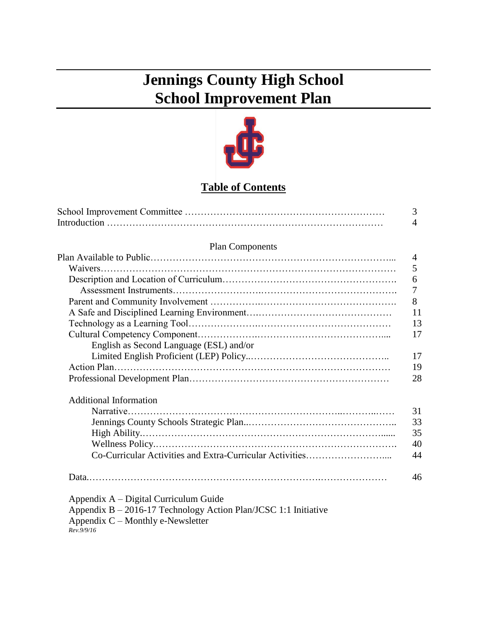# **Jennings County High School School Improvement Plan**



## **Table of Contents**

|                                                                 | 3              |
|-----------------------------------------------------------------|----------------|
|                                                                 | $\overline{4}$ |
| <b>Plan Components</b>                                          |                |
|                                                                 | 4              |
|                                                                 | 5              |
|                                                                 | 6              |
|                                                                 | 7              |
|                                                                 | 8              |
|                                                                 | 11             |
|                                                                 | 13             |
|                                                                 | 17             |
| English as Second Language (ESL) and/or                         |                |
|                                                                 | 17             |
|                                                                 | 19             |
|                                                                 | 28             |
| <b>Additional Information</b>                                   |                |
|                                                                 | 31             |
|                                                                 | 33             |
|                                                                 | 35             |
|                                                                 | 40             |
| Co-Curricular Activities and Extra-Curricular Activities        | 44             |
|                                                                 | 46             |
| Appendix A – Digital Curriculum Guide                           |                |
| Appendix B - 2016-17 Technology Action Plan/JCSC 1:1 Initiative |                |
| Appendix $C$ – Monthly e-Newsletter                             |                |
| Rev.9/9/16                                                      |                |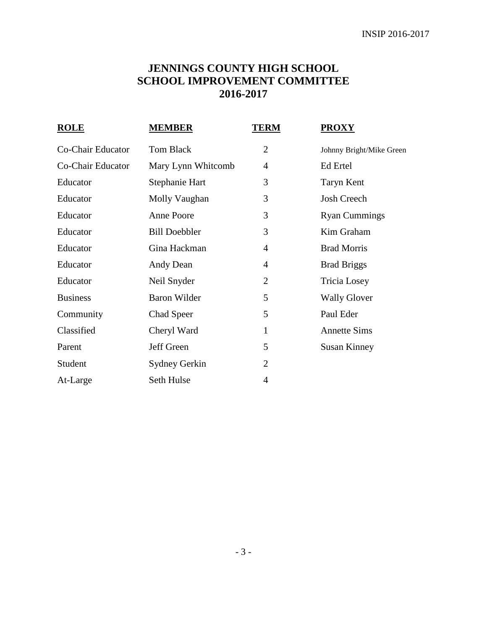## **JENNINGS COUNTY HIGH SCHOOL SCHOOL IMPROVEMENT COMMITTEE 2016-2017**

| <b>ROLE</b>       | <b>MEMBER</b>        | <b>TERM</b>    | <u>PROXY</u>             |
|-------------------|----------------------|----------------|--------------------------|
| Co-Chair Educator | Tom Black            | $\overline{2}$ | Johnny Bright/Mike Green |
| Co-Chair Educator | Mary Lynn Whitcomb   | 4              | Ed Ertel                 |
| Educator          | Stephanie Hart       | 3              | Taryn Kent               |
| Educator          | Molly Vaughan        | 3              | <b>Josh Creech</b>       |
| Educator          | Anne Poore           | 3              | <b>Ryan Cummings</b>     |
| Educator          | <b>Bill Doebbler</b> | 3              | Kim Graham               |
| Educator          | Gina Hackman         | 4              | <b>Brad Morris</b>       |
| Educator          | Andy Dean            | 4              | <b>Brad Briggs</b>       |
| Educator          | Neil Snyder          | $\overline{2}$ | Tricia Losey             |
| <b>Business</b>   | <b>Baron Wilder</b>  | 5              | <b>Wally Glover</b>      |
| Community         | Chad Speer           | 5              | Paul Eder                |
| Classified        | Cheryl Ward          | $\mathbf{1}$   | <b>Annette Sims</b>      |
| Parent            | Jeff Green           | 5              | <b>Susan Kinney</b>      |
| Student           | Sydney Gerkin        | $\overline{2}$ |                          |
| At-Large          | Seth Hulse           | 4              |                          |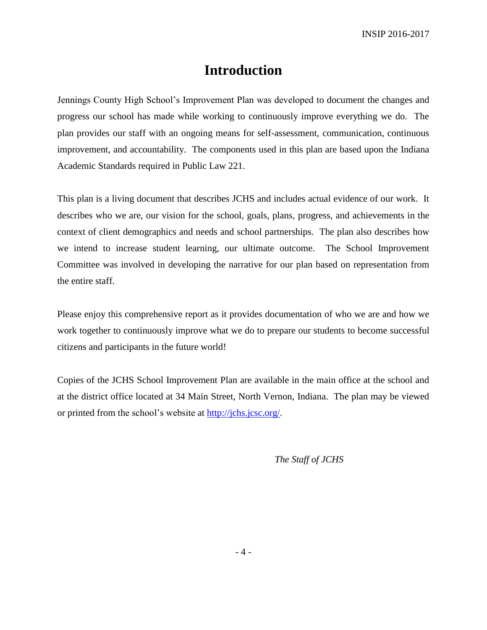## **Introduction**

Jennings County High School's Improvement Plan was developed to document the changes and progress our school has made while working to continuously improve everything we do. The plan provides our staff with an ongoing means for self-assessment, communication, continuous improvement, and accountability. The components used in this plan are based upon the Indiana Academic Standards required in Public Law 221.

This plan is a living document that describes JCHS and includes actual evidence of our work. It describes who we are, our vision for the school, goals, plans, progress, and achievements in the context of client demographics and needs and school partnerships. The plan also describes how we intend to increase student learning, our ultimate outcome. The School Improvement Committee was involved in developing the narrative for our plan based on representation from the entire staff.

Please enjoy this comprehensive report as it provides documentation of who we are and how we work together to continuously improve what we do to prepare our students to become successful citizens and participants in the future world!

Copies of the JCHS School Improvement Plan are available in the main office at the school and at the district office located at 34 Main Street, North Vernon, Indiana. The plan may be viewed or printed from the school's website at [http://jchs.jcsc.org/.](http://jchs.jcsc.org/)

*The Staff of JCHS*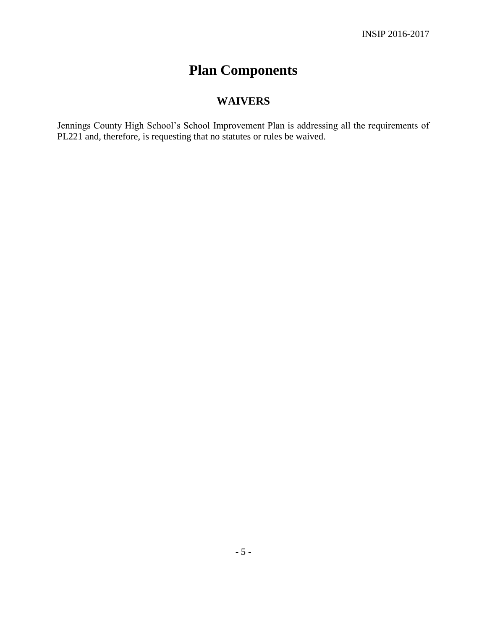# **Plan Components**

## **WAIVERS**

Jennings County High School's School Improvement Plan is addressing all the requirements of PL221 and, therefore, is requesting that no statutes or rules be waived.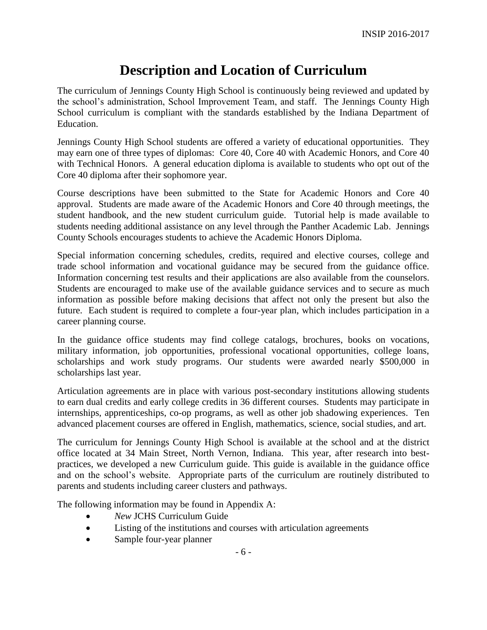## **Description and Location of Curriculum**

The curriculum of Jennings County High School is continuously being reviewed and updated by the school's administration, School Improvement Team, and staff. The Jennings County High School curriculum is compliant with the standards established by the Indiana Department of Education.

Jennings County High School students are offered a variety of educational opportunities. They may earn one of three types of diplomas: Core 40, Core 40 with Academic Honors, and Core 40 with Technical Honors. A general education diploma is available to students who opt out of the Core 40 diploma after their sophomore year.

Course descriptions have been submitted to the State for Academic Honors and Core 40 approval. Students are made aware of the Academic Honors and Core 40 through meetings, the student handbook, and the new student curriculum guide. Tutorial help is made available to students needing additional assistance on any level through the Panther Academic Lab. Jennings County Schools encourages students to achieve the Academic Honors Diploma.

Special information concerning schedules, credits, required and elective courses, college and trade school information and vocational guidance may be secured from the guidance office. Information concerning test results and their applications are also available from the counselors. Students are encouraged to make use of the available guidance services and to secure as much information as possible before making decisions that affect not only the present but also the future. Each student is required to complete a four-year plan, which includes participation in a career planning course.

In the guidance office students may find college catalogs, brochures, books on vocations, military information, job opportunities, professional vocational opportunities, college loans, scholarships and work study programs. Our students were awarded nearly \$500,000 in scholarships last year.

Articulation agreements are in place with various post-secondary institutions allowing students to earn dual credits and early college credits in 36 different courses. Students may participate in internships, apprenticeships, co-op programs, as well as other job shadowing experiences. Ten advanced placement courses are offered in English, mathematics, science, social studies, and art.

The curriculum for Jennings County High School is available at the school and at the district office located at 34 Main Street, North Vernon, Indiana. This year, after research into bestpractices, we developed a new Curriculum guide. This guide is available in the guidance office and on the school's website. Appropriate parts of the curriculum are routinely distributed to parents and students including career clusters and pathways.

The following information may be found in Appendix A:

- *New* JCHS Curriculum Guide
- Listing of the institutions and courses with articulation agreements
- Sample four-year planner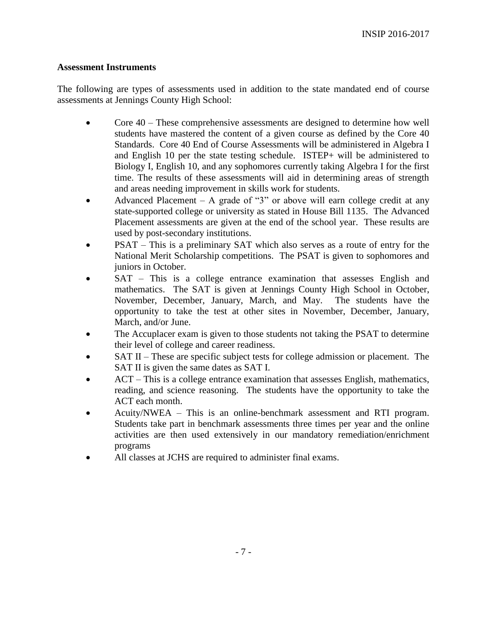#### **Assessment Instruments**

The following are types of assessments used in addition to the state mandated end of course assessments at Jennings County High School:

- Core 40 These comprehensive assessments are designed to determine how well students have mastered the content of a given course as defined by the Core 40 Standards. Core 40 End of Course Assessments will be administered in Algebra I and English 10 per the state testing schedule. ISTEP+ will be administered to Biology I, English 10, and any sophomores currently taking Algebra I for the first time. The results of these assessments will aid in determining areas of strength and areas needing improvement in skills work for students.
- Advanced Placement A grade of "3" or above will earn college credit at any state-supported college or university as stated in House Bill 1135. The Advanced Placement assessments are given at the end of the school year. These results are used by post-secondary institutions.
- PSAT This is a preliminary SAT which also serves as a route of entry for the National Merit Scholarship competitions. The PSAT is given to sophomores and juniors in October.
- SAT This is a college entrance examination that assesses English and mathematics. The SAT is given at Jennings County High School in October, November, December, January, March, and May. The students have the opportunity to take the test at other sites in November, December, January, March, and/or June.
- The Accuplacer exam is given to those students not taking the PSAT to determine their level of college and career readiness.
- SAT II These are specific subject tests for college admission or placement. The SAT II is given the same dates as SAT I.
- ACT This is a college entrance examination that assesses English, mathematics, reading, and science reasoning. The students have the opportunity to take the ACT each month.
- Acuity/NWEA This is an online-benchmark assessment and RTI program. Students take part in benchmark assessments three times per year and the online activities are then used extensively in our mandatory remediation/enrichment programs
- All classes at JCHS are required to administer final exams.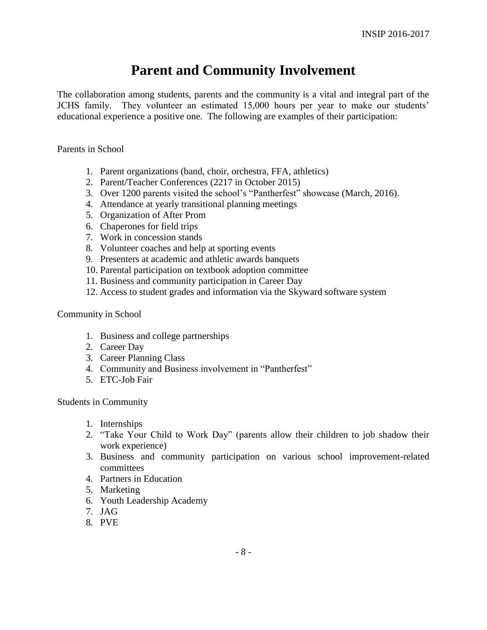## **Parent and Community Involvement**

The collaboration among students, parents and the community is a vital and integral part of the JCHS family. They volunteer an estimated 15,000 hours per year to make our students' educational experience a positive one. The following are examples of their participation:

#### Parents in School

- 1. Parent organizations (band, choir, orchestra, FFA, athletics)
- 2. Parent/Teacher Conferences (2217 in October 2015)
- 3. Over 1200 parents visited the school's "Pantherfest" showcase (March, 2016).
- 4. Attendance at yearly transitional planning meetings
- 5. Organization of After Prom
- 6. Chaperones for field trips
- 7. Work in concession stands
- 8. Volunteer coaches and help at sporting events
- 9. Presenters at academic and athletic awards banquets
- 10. Parental participation on textbook adoption committee
- 11. Business and community participation in Career Day
- 12. Access to student grades and information via the Skyward software system

#### Community in School

- 1. Business and college partnerships
- 2. Career Day
- 3. Career Planning Class
- 4. Community and Business involvement in "Pantherfest"
- 5. ETC-Job Fair

Students in Community

- 1. Internships
- 2. "Take Your Child to Work Day" (parents allow their children to job shadow their work experience)
- 3. Business and community participation on various school improvement-related committees
- 4. Partners in Education
- 5. Marketing
- 6. Youth Leadership Academy
- 7. JAG
- 8. PVE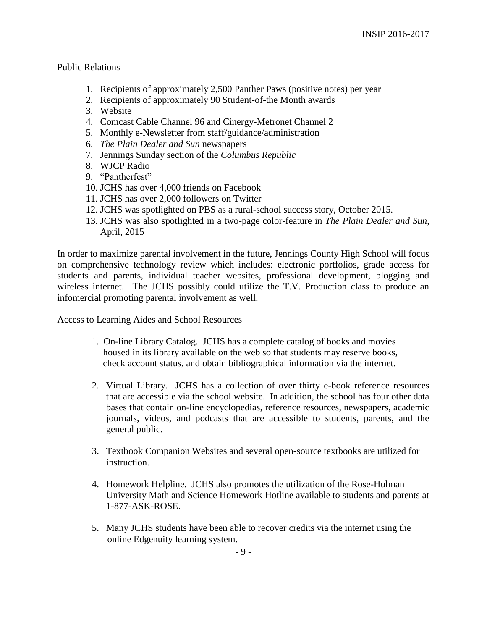#### Public Relations

- 1. Recipients of approximately 2,500 Panther Paws (positive notes) per year
- 2. Recipients of approximately 90 Student-of-the Month awards
- 3. Website
- 4. Comcast Cable Channel 96 and Cinergy-Metronet Channel 2
- 5. Monthly e-Newsletter from staff/guidance/administration
- 6. *The Plain Dealer and Sun* newspapers
- 7. Jennings Sunday section of the *Columbus Republic*
- 8. WJCP Radio
- 9. "Pantherfest"
- 10. JCHS has over 4,000 friends on Facebook
- 11. JCHS has over 2,000 followers on Twitter
- 12. JCHS was spotlighted on PBS as a rural-school success story, October 2015.
- 13. JCHS was also spotlighted in a two-page color-feature in *The Plain Dealer and Sun*, April, 2015

In order to maximize parental involvement in the future, Jennings County High School will focus on comprehensive technology review which includes: electronic portfolios, grade access for students and parents, individual teacher websites, professional development, blogging and wireless internet. The JCHS possibly could utilize the T.V. Production class to produce an infomercial promoting parental involvement as well.

Access to Learning Aides and School Resources

- 1. On-line Library Catalog. JCHS has a complete catalog of books and movies housed in its library available on the web so that students may reserve books, check account status, and obtain bibliographical information via the internet.
- 2. Virtual Library. JCHS has a collection of over thirty e-book reference resources that are accessible via the school website. In addition, the school has four other data bases that contain on-line encyclopedias, reference resources, newspapers, academic journals, videos, and podcasts that are accessible to students, parents, and the general public.
- 3. Textbook Companion Websites and several open-source textbooks are utilized for instruction.
- 4. Homework Helpline. JCHS also promotes the utilization of the Rose-Hulman University Math and Science Homework Hotline available to students and parents at 1-877-ASK-ROSE.
- 5. Many JCHS students have been able to recover credits via the internet using the online Edgenuity learning system.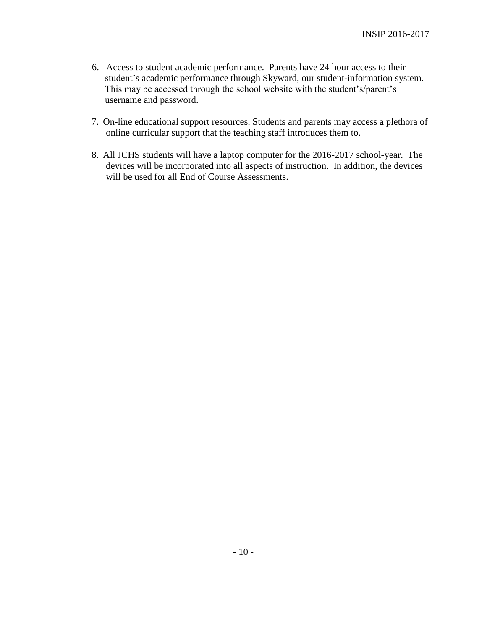- 6. Access to student academic performance. Parents have 24 hour access to their student's academic performance through Skyward, our student-information system. This may be accessed through the school website with the student's/parent's username and password.
- 7. On-line educational support resources. Students and parents may access a plethora of online curricular support that the teaching staff introduces them to.
- 8. All JCHS students will have a laptop computer for the 2016-2017 school-year. The devices will be incorporated into all aspects of instruction. In addition, the devices will be used for all End of Course Assessments.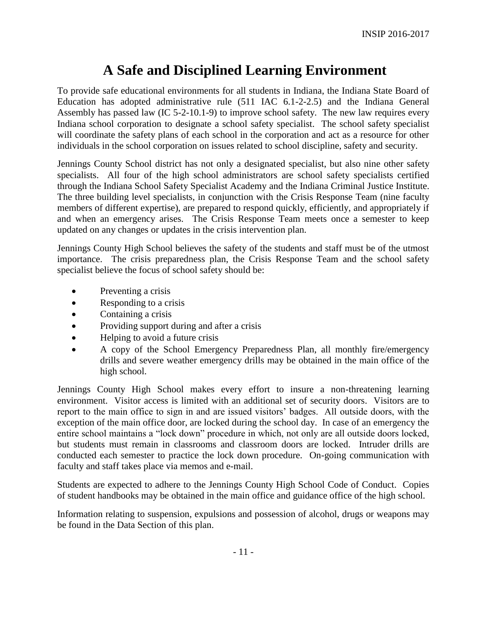## **A Safe and Disciplined Learning Environment**

To provide safe educational environments for all students in Indiana, the Indiana State Board of Education has adopted administrative rule (511 IAC 6.1-2-2.5) and the Indiana General Assembly has passed law (IC 5-2-10.1-9) to improve school safety. The new law requires every Indiana school corporation to designate a school safety specialist. The school safety specialist will coordinate the safety plans of each school in the corporation and act as a resource for other individuals in the school corporation on issues related to school discipline, safety and security.

Jennings County School district has not only a designated specialist, but also nine other safety specialists. All four of the high school administrators are school safety specialists certified through the Indiana School Safety Specialist Academy and the Indiana Criminal Justice Institute. The three building level specialists, in conjunction with the Crisis Response Team (nine faculty members of different expertise), are prepared to respond quickly, efficiently, and appropriately if and when an emergency arises. The Crisis Response Team meets once a semester to keep updated on any changes or updates in the crisis intervention plan.

Jennings County High School believes the safety of the students and staff must be of the utmost importance. The crisis preparedness plan, the Crisis Response Team and the school safety specialist believe the focus of school safety should be:

- Preventing a crisis
- Responding to a crisis
- Containing a crisis
- Providing support during and after a crisis
- Helping to avoid a future crisis
- A copy of the School Emergency Preparedness Plan, all monthly fire/emergency drills and severe weather emergency drills may be obtained in the main office of the high school.

Jennings County High School makes every effort to insure a non-threatening learning environment. Visitor access is limited with an additional set of security doors. Visitors are to report to the main office to sign in and are issued visitors' badges. All outside doors, with the exception of the main office door, are locked during the school day. In case of an emergency the entire school maintains a "lock down" procedure in which, not only are all outside doors locked, but students must remain in classrooms and classroom doors are locked. Intruder drills are conducted each semester to practice the lock down procedure. On-going communication with faculty and staff takes place via memos and e-mail.

Students are expected to adhere to the Jennings County High School Code of Conduct. Copies of student handbooks may be obtained in the main office and guidance office of the high school.

Information relating to suspension, expulsions and possession of alcohol, drugs or weapons may be found in the Data Section of this plan.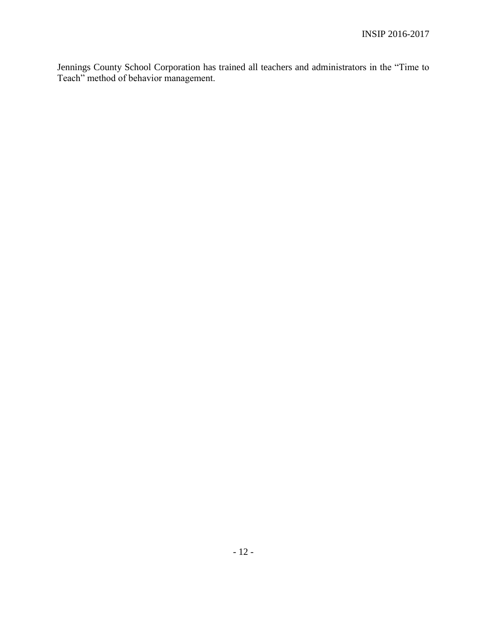Jennings County School Corporation has trained all teachers and administrators in the "Time to Teach" method of behavior management.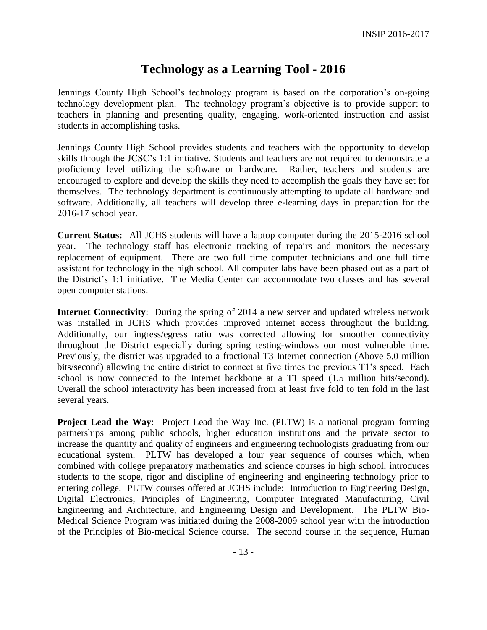## **Technology as a Learning Tool - 2016**

Jennings County High School's technology program is based on the corporation's on-going technology development plan. The technology program's objective is to provide support to teachers in planning and presenting quality, engaging, work-oriented instruction and assist students in accomplishing tasks.

Jennings County High School provides students and teachers with the opportunity to develop skills through the JCSC's 1:1 initiative. Students and teachers are not required to demonstrate a proficiency level utilizing the software or hardware. Rather, teachers and students are encouraged to explore and develop the skills they need to accomplish the goals they have set for themselves. The technology department is continuously attempting to update all hardware and software. Additionally, all teachers will develop three e-learning days in preparation for the 2016-17 school year.

**Current Status:** All JCHS students will have a laptop computer during the 2015-2016 school year. The technology staff has electronic tracking of repairs and monitors the necessary replacement of equipment. There are two full time computer technicians and one full time assistant for technology in the high school. All computer labs have been phased out as a part of the District's 1:1 initiative. The Media Center can accommodate two classes and has several open computer stations.

**Internet Connectivity**: During the spring of 2014 a new server and updated wireless network was installed in JCHS which provides improved internet access throughout the building. Additionally, our ingress/egress ratio was corrected allowing for smoother connectivity throughout the District especially during spring testing-windows our most vulnerable time. Previously, the district was upgraded to a fractional T3 Internet connection (Above 5.0 million bits/second) allowing the entire district to connect at five times the previous T1's speed. Each school is now connected to the Internet backbone at a T1 speed (1.5 million bits/second). Overall the school interactivity has been increased from at least five fold to ten fold in the last several years.

**Project Lead the Way:** Project Lead the Way Inc. (PLTW) is a national program forming partnerships among public schools, higher education institutions and the private sector to increase the quantity and quality of engineers and engineering technologists graduating from our educational system. PLTW has developed a four year sequence of courses which, when combined with college preparatory mathematics and science courses in high school, introduces students to the scope, rigor and discipline of engineering and engineering technology prior to entering college. PLTW courses offered at JCHS include: Introduction to Engineering Design, Digital Electronics, Principles of Engineering, Computer Integrated Manufacturing, Civil Engineering and Architecture, and Engineering Design and Development. The PLTW Bio-Medical Science Program was initiated during the 2008-2009 school year with the introduction of the Principles of Bio-medical Science course. The second course in the sequence, Human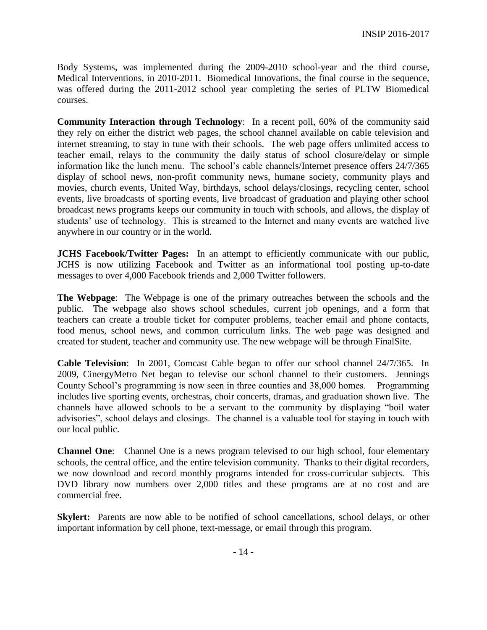Body Systems, was implemented during the 2009-2010 school-year and the third course, Medical Interventions, in 2010-2011. Biomedical Innovations, the final course in the sequence, was offered during the 2011-2012 school year completing the series of PLTW Biomedical courses.

**Community Interaction through Technology**: In a recent poll, 60% of the community said they rely on either the district web pages, the school channel available on cable television and internet streaming, to stay in tune with their schools. The web page offers unlimited access to teacher email, relays to the community the daily status of school closure/delay or simple information like the lunch menu. The school's cable channels/Internet presence offers 24/7/365 display of school news, non-profit community news, humane society, community plays and movies, church events, United Way, birthdays, school delays/closings, recycling center, school events, live broadcasts of sporting events, live broadcast of graduation and playing other school broadcast news programs keeps our community in touch with schools, and allows, the display of students' use of technology. This is streamed to the Internet and many events are watched live anywhere in our country or in the world.

**JCHS Facebook/Twitter Pages:** In an attempt to efficiently communicate with our public, JCHS is now utilizing Facebook and Twitter as an informational tool posting up-to-date messages to over 4,000 Facebook friends and 2,000 Twitter followers.

**The Webpage**: The Webpage is one of the primary outreaches between the schools and the public. The webpage also shows school schedules, current job openings, and a form that teachers can create a trouble ticket for computer problems, teacher email and phone contacts, food menus, school news, and common curriculum links. The web page was designed and created for student, teacher and community use. The new webpage will be through FinalSite.

**Cable Television**: In 2001, Comcast Cable began to offer our school channel 24/7/365. In 2009, CinergyMetro Net began to televise our school channel to their customers. Jennings County School's programming is now seen in three counties and 38,000 homes. Programming includes live sporting events, orchestras, choir concerts, dramas, and graduation shown live. The channels have allowed schools to be a servant to the community by displaying "boil water advisories", school delays and closings. The channel is a valuable tool for staying in touch with our local public.

**Channel One**: Channel One is a news program televised to our high school, four elementary schools, the central office, and the entire television community. Thanks to their digital recorders, we now download and record monthly programs intended for cross-curricular subjects. This DVD library now numbers over 2,000 titles and these programs are at no cost and are commercial free.

**Skylert:** Parents are now able to be notified of school cancellations, school delays, or other important information by cell phone, text-message, or email through this program.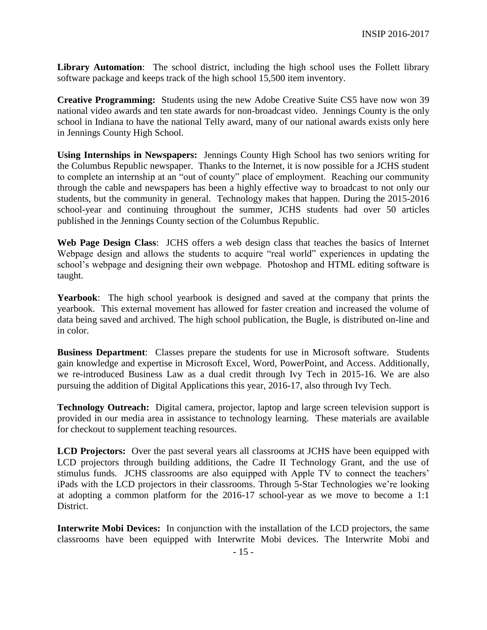**Library Automation**: The school district, including the high school uses the Follett library software package and keeps track of the high school 15,500 item inventory.

**Creative Programming:** Students using the new Adobe Creative Suite CS5 have now won 39 national video awards and ten state awards for non-broadcast video. Jennings County is the only school in Indiana to have the national Telly award, many of our national awards exists only here in Jennings County High School.

**Using Internships in Newspapers:** Jennings County High School has two seniors writing for the Columbus Republic newspaper. Thanks to the Internet, it is now possible for a JCHS student to complete an internship at an "out of county" place of employment. Reaching our community through the cable and newspapers has been a highly effective way to broadcast to not only our students, but the community in general. Technology makes that happen. During the 2015-2016 school-year and continuing throughout the summer, JCHS students had over 50 articles published in the Jennings County section of the Columbus Republic.

**Web Page Design Class**: JCHS offers a web design class that teaches the basics of Internet Webpage design and allows the students to acquire "real world" experiences in updating the school's webpage and designing their own webpage. Photoshop and HTML editing software is taught.

**Yearbook**: The high school yearbook is designed and saved at the company that prints the yearbook. This external movement has allowed for faster creation and increased the volume of data being saved and archived. The high school publication, the Bugle, is distributed on-line and in color.

**Business Department**: Classes prepare the students for use in Microsoft software. Students gain knowledge and expertise in Microsoft Excel, Word, PowerPoint, and Access. Additionally, we re-introduced Business Law as a dual credit through Ivy Tech in 2015-16. We are also pursuing the addition of Digital Applications this year, 2016-17, also through Ivy Tech.

**Technology Outreach:** Digital camera, projector, laptop and large screen television support is provided in our media area in assistance to technology learning. These materials are available for checkout to supplement teaching resources.

**LCD Projectors:** Over the past several years all classrooms at JCHS have been equipped with LCD projectors through building additions, the Cadre II Technology Grant, and the use of stimulus funds. JCHS classrooms are also equipped with Apple TV to connect the teachers' iPads with the LCD projectors in their classrooms. Through 5-Star Technologies we're looking at adopting a common platform for the 2016-17 school-year as we move to become a 1:1 District.

**Interwrite Mobi Devices:** In conjunction with the installation of the LCD projectors, the same classrooms have been equipped with Interwrite Mobi devices. The Interwrite Mobi and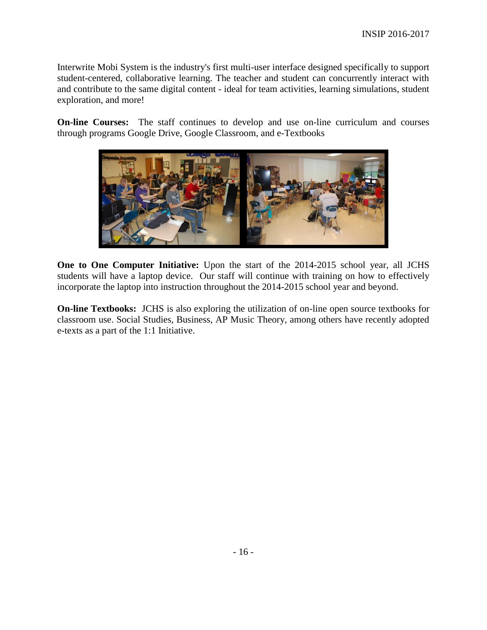Interwrite Mobi System is the industry's first multi-user interface designed specifically to support student-centered, collaborative learning. The teacher and student can concurrently interact with and contribute to the same digital content - ideal for team activities, learning simulations, student exploration, and more!

**On-line Courses:** The staff continues to develop and use on-line curriculum and courses through programs Google Drive, Google Classroom, and e-Textbooks



**One to One Computer Initiative:** Upon the start of the 2014-2015 school year, all JCHS students will have a laptop device. Our staff will continue with training on how to effectively incorporate the laptop into instruction throughout the 2014-2015 school year and beyond.

**On-line Textbooks:** JCHS is also exploring the utilization of on-line open source textbooks for classroom use. Social Studies, Business, AP Music Theory, among others have recently adopted e-texts as a part of the 1:1 Initiative.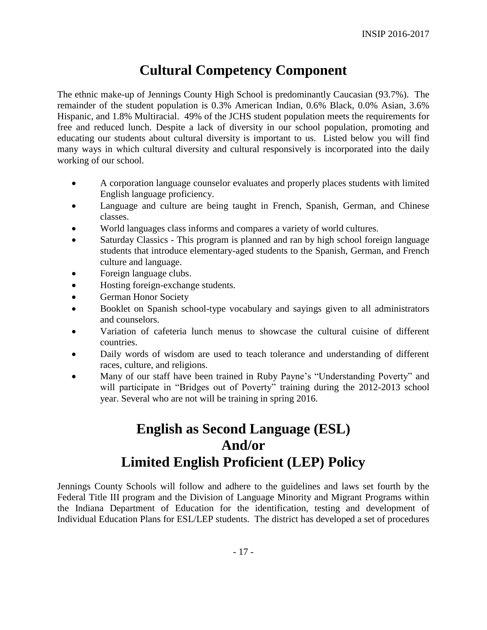## **Cultural Competency Component**

The ethnic make-up of Jennings County High School is predominantly Caucasian (93.7%). The remainder of the student population is 0.3% American Indian, 0.6% Black, 0.0% Asian, 3.6% Hispanic, and 1.8% Multiracial. 49% of the JCHS student population meets the requirements for free and reduced lunch. Despite a lack of diversity in our school population, promoting and educating our students about cultural diversity is important to us. Listed below you will find many ways in which cultural diversity and cultural responsively is incorporated into the daily working of our school.

- A corporation language counselor evaluates and properly places students with limited English language proficiency.
- Language and culture are being taught in French, Spanish, German, and Chinese classes.
- World languages class informs and compares a variety of world cultures.
- Saturday Classics This program is planned and ran by high school foreign language students that introduce elementary-aged students to the Spanish, German, and French culture and language.
- Foreign language clubs.
- Hosting foreign-exchange students.
- German Honor Society
- Booklet on Spanish school-type vocabulary and sayings given to all administrators and counselors.
- Variation of cafeteria lunch menus to showcase the cultural cuisine of different countries.
- Daily words of wisdom are used to teach tolerance and understanding of different races, culture, and religions.
- Many of our staff have been trained in Ruby Payne's "Understanding Poverty" and will participate in "Bridges out of Poverty" training during the 2012-2013 school year. Several who are not will be training in spring 2016.

## **English as Second Language (ESL) And/or Limited English Proficient (LEP) Policy**

Jennings County Schools will follow and adhere to the guidelines and laws set fourth by the Federal Title III program and the Division of Language Minority and Migrant Programs within the Indiana Department of Education for the identification, testing and development of Individual Education Plans for ESL/LEP students. The district has developed a set of procedures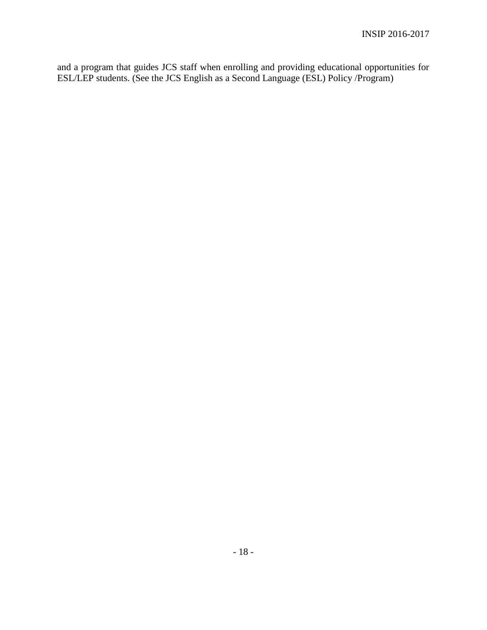and a program that guides JCS staff when enrolling and providing educational opportunities for ESL/LEP students. (See the JCS English as a Second Language (ESL) Policy /Program)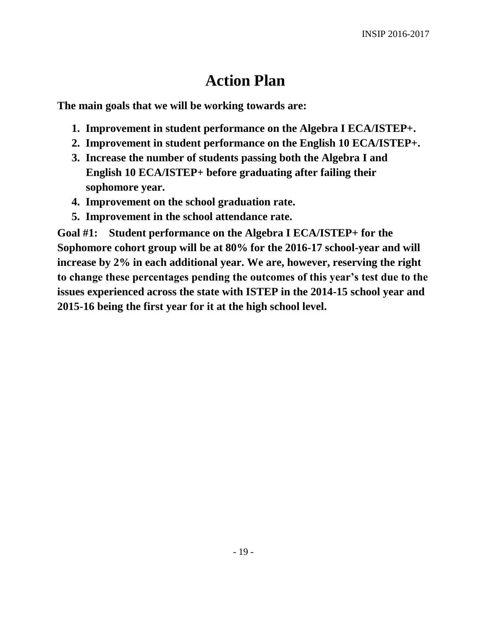# **Action Plan**

**The main goals that we will be working towards are:**

- **1. Improvement in student performance on the Algebra I ECA/ISTEP+.**
- **2. Improvement in student performance on the English 10 ECA/ISTEP+.**
- **3. Increase the number of students passing both the Algebra I and English 10 ECA/ISTEP+ before graduating after failing their sophomore year.**
- **4. Improvement on the school graduation rate.**
- **5. Improvement in the school attendance rate.**

**Goal #1: Student performance on the Algebra I ECA/ISTEP+ for the Sophomore cohort group will be at 80% for the 2016-17 school-year and will increase by 2% in each additional year. We are, however, reserving the right to change these percentages pending the outcomes of this year's test due to the issues experienced across the state with ISTEP in the 2014-15 school year and 2015-16 being the first year for it at the high school level.**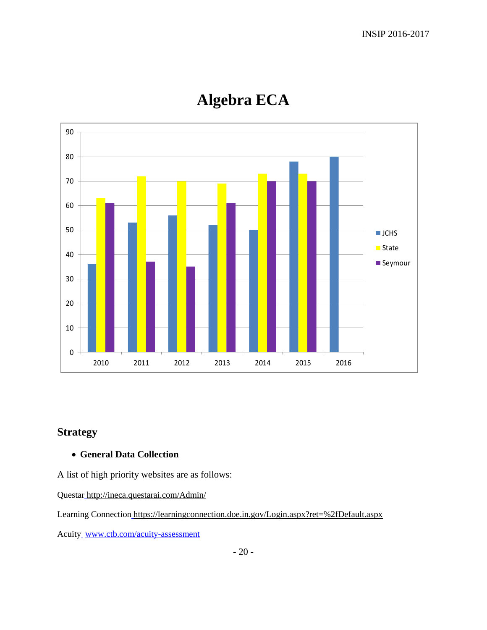

# **Algebra ECA**

## **Strategy**

### **General Data Collection**

A list of high priority websites are as follows:

Questa[r](http://www.google.com/url?q=http%3A%2F%2Fineca.questarai.com%2FAdmin%2F&sa=D&sntz=1&usg=AFQjCNE1G8q4SIZFy0hC5iyvdIBw416AxA) [http://ineca.questarai.com/Admin/](http://www.google.com/url?q=http%3A%2F%2Fineca.questarai.com%2FAdmin%2F&sa=D&sntz=1&usg=AFQjCNE1G8q4SIZFy0hC5iyvdIBw416AxA)

Learning Connectio[n](https://www.google.com/url?q=https%3A%2F%2Flearningconnection.doe.in.gov%2FLogin.aspx%3Fret%3D%252fDefault.aspx&sa=D&sntz=1&usg=AFQjCNGgr-C4qptuTpwi0FPbUzFmCRlIYw) [https://learningconnection.doe.in.gov/Login.aspx?ret=%2fDefault.aspx](https://www.google.com/url?q=https%3A%2F%2Flearningconnection.doe.in.gov%2FLogin.aspx%3Fret%3D%252fDefault.aspx&sa=D&sntz=1&usg=AFQjCNGgr-C4qptuTpwi0FPbUzFmCRlIYw)

Acuit[y](http://www.google.com/url?q=http%3A%2F%2Facuity.sripley.k12.in.us%2Flogin.m%3Fcommand%3DinvalidateState&sa=D&sntz=1&usg=AFQjCNFypOTN36yvIurdE4wovXYchFfUqg)\_[www.ctb.com/acuity-assessment](http://www.ctb.com/acuity-assessment)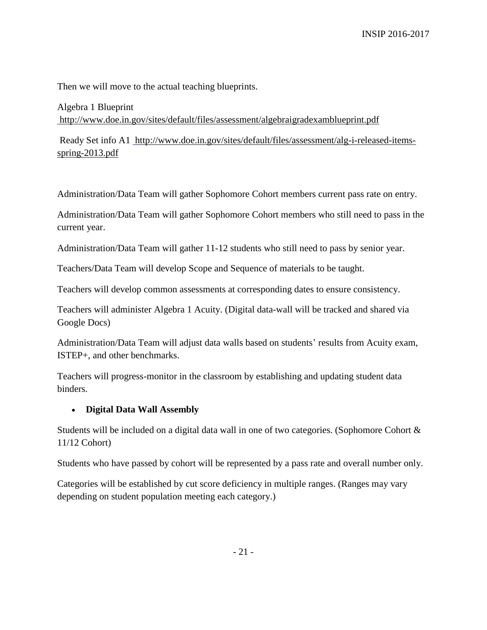Then we will move to the actual teaching blueprints.

Algebra 1 Blueprint [http://www.doe.in.gov/sites/default/files/assessment/algebraigradexamblueprint.pdf](http://www.google.com/url?q=http%3A%2F%2Fwww.doe.in.gov%2Fsites%2Fdefault%2Ffiles%2Fassessment%2Falgebraigradexamblueprint.pdf&sa=D&sntz=1&usg=AFQjCNG66a4MGYlfDGYT4-VnD8DMpLUw9g)

Ready Set info A1 [http://www.doe.in.gov/sites/default/files/assessment/alg-i-released-items](http://www.google.com/url?q=http%3A%2F%2Fwww.doe.in.gov%2Fsites%2Fdefault%2Ffiles%2Fassessment%2Falg-i-released-items-spring-2013.pdf&sa=D&sntz=1&usg=AFQjCNEUjxuWoNUXURISVrMrLK2h03z3Lw)[spring-2013.pdf](http://www.google.com/url?q=http%3A%2F%2Fwww.doe.in.gov%2Fsites%2Fdefault%2Ffiles%2Fassessment%2Falg-i-released-items-spring-2013.pdf&sa=D&sntz=1&usg=AFQjCNEUjxuWoNUXURISVrMrLK2h03z3Lw)

Administration/Data Team will gather Sophomore Cohort members current pass rate on entry.

Administration/Data Team will gather Sophomore Cohort members who still need to pass in the current year.

Administration/Data Team will gather 11-12 students who still need to pass by senior year.

Teachers/Data Team will develop Scope and Sequence of materials to be taught.

Teachers will develop common assessments at corresponding dates to ensure consistency.

Teachers will administer Algebra 1 Acuity. (Digital data-wall will be tracked and shared via Google Docs)

Administration/Data Team will adjust data walls based on students' results from Acuity exam, ISTEP+, and other benchmarks.

Teachers will progress-monitor in the classroom by establishing and updating student data binders.

### **Digital Data Wall Assembly**

Students will be included on a digital data wall in one of two categories. (Sophomore Cohort & 11/12 Cohort)

Students who have passed by cohort will be represented by a pass rate and overall number only.

Categories will be established by cut score deficiency in multiple ranges. (Ranges may vary depending on student population meeting each category.)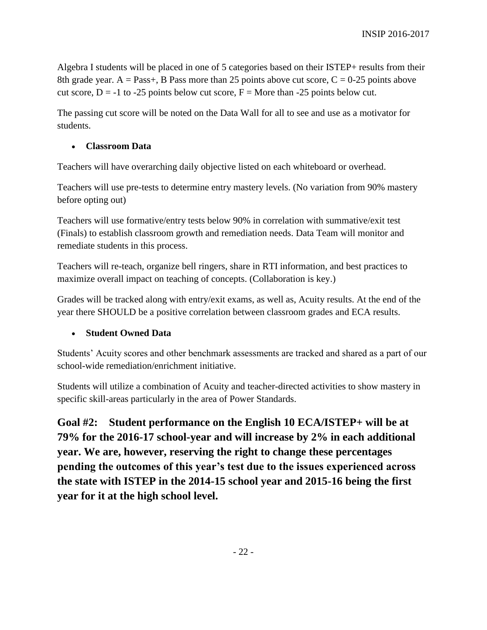Algebra I students will be placed in one of 5 categories based on their ISTEP+ results from their 8th grade year. A = Pass+, B Pass more than 25 points above cut score,  $C = 0-25$  points above cut score,  $D = -1$  to -25 points below cut score,  $F =$  More than -25 points below cut.

The passing cut score will be noted on the Data Wall for all to see and use as a motivator for students.

#### **Classroom Data**

Teachers will have overarching daily objective listed on each whiteboard or overhead.

Teachers will use pre-tests to determine entry mastery levels. (No variation from 90% mastery before opting out)

Teachers will use formative/entry tests below 90% in correlation with summative/exit test (Finals) to establish classroom growth and remediation needs. Data Team will monitor and remediate students in this process.

Teachers will re-teach, organize bell ringers, share in RTI information, and best practices to maximize overall impact on teaching of concepts. (Collaboration is key.)

Grades will be tracked along with entry/exit exams, as well as, Acuity results. At the end of the year there SHOULD be a positive correlation between classroom grades and ECA results.

### **Student Owned Data**

Students' Acuity scores and other benchmark assessments are tracked and shared as a part of our school-wide remediation/enrichment initiative.

Students will utilize a combination of Acuity and teacher-directed activities to show mastery in specific skill-areas particularly in the area of Power Standards.

**Goal #2: Student performance on the English 10 ECA/ISTEP+ will be at 79% for the 2016-17 school-year and will increase by 2% in each additional year. We are, however, reserving the right to change these percentages pending the outcomes of this year's test due to the issues experienced across the state with ISTEP in the 2014-15 school year and 2015-16 being the first year for it at the high school level.**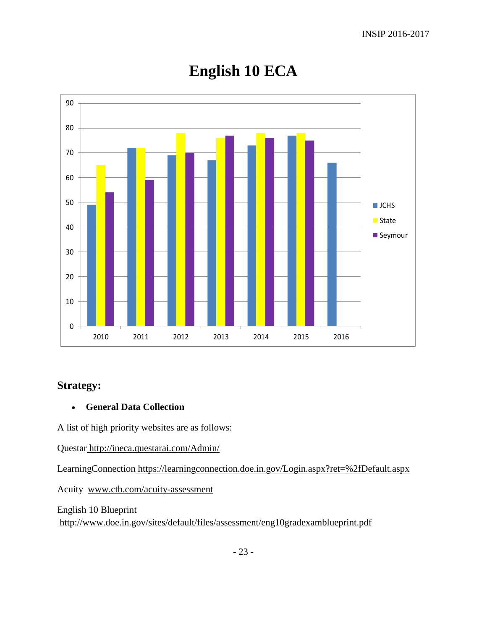

# **English 10 ECA**

## **Strategy:**

### **General Data Collection**

A list of high priority websites are as follows:

Questar [http://ineca.questarai.com/Admin/](http://www.google.com/url?q=http%3A%2F%2Fineca.questarai.com%2FAdmin%2F&sa=D&sntz=1&usg=AFQjCNE1G8q4SIZFy0hC5iyvdIBw416AxA)

LearningConnectio[n](https://www.google.com/url?q=https%3A%2F%2Flearningconnection.doe.in.gov%2FLogin.aspx%3Fret%3D%252fDefault.aspx&sa=D&sntz=1&usg=AFQjCNGgr-C4qptuTpwi0FPbUzFmCRlIYw) [https://learningconnection.doe.in.gov/Login.aspx?ret=%2fDefault.aspx](https://www.google.com/url?q=https%3A%2F%2Flearningconnection.doe.in.gov%2FLogin.aspx%3Fret%3D%252fDefault.aspx&sa=D&sntz=1&usg=AFQjCNGgr-C4qptuTpwi0FPbUzFmCRlIYw)

Acuity www.ctb.com/acuity-assessment

English 10 Blueprint [http://www.doe.in.gov/sites/default/files/assessment/eng10gradexamblueprint.pdf](http://www.google.com/url?q=http%3A%2F%2Fwww.doe.in.gov%2Fsites%2Fdefault%2Ffiles%2Fassessment%2Feng10gradexamblueprint.pdf&sa=D&sntz=1&usg=AFQjCNFpTPxrcoLmd8FgozdGJbKOUOZotw)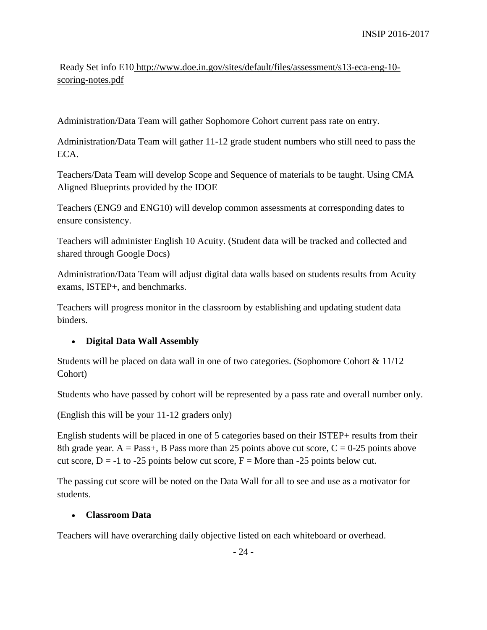Ready Set info E1[0](http://www.google.com/url?q=http%3A%2F%2Fwww.doe.in.gov%2Fsites%2Fdefault%2Ffiles%2Fassessment%2Fs13-eca-eng-10-scoring-notes.pdf&sa=D&sntz=1&usg=AFQjCNHE05nJYrSoegq4MKpayj1TOX9RaQ) [http://www.doe.in.gov/sites/default/files/assessment/s13-eca-eng-10](http://www.google.com/url?q=http%3A%2F%2Fwww.doe.in.gov%2Fsites%2Fdefault%2Ffiles%2Fassessment%2Fs13-eca-eng-10-scoring-notes.pdf&sa=D&sntz=1&usg=AFQjCNHE05nJYrSoegq4MKpayj1TOX9RaQ) [scoring-notes.pdf](http://www.google.com/url?q=http%3A%2F%2Fwww.doe.in.gov%2Fsites%2Fdefault%2Ffiles%2Fassessment%2Fs13-eca-eng-10-scoring-notes.pdf&sa=D&sntz=1&usg=AFQjCNHE05nJYrSoegq4MKpayj1TOX9RaQ)

Administration/Data Team will gather Sophomore Cohort current pass rate on entry.

Administration/Data Team will gather 11-12 grade student numbers who still need to pass the ECA.

Teachers/Data Team will develop Scope and Sequence of materials to be taught. Using CMA Aligned Blueprints provided by the IDOE

Teachers (ENG9 and ENG10) will develop common assessments at corresponding dates to ensure consistency.

Teachers will administer English 10 Acuity. (Student data will be tracked and collected and shared through Google Docs)

Administration/Data Team will adjust digital data walls based on students results from Acuity exams, ISTEP+, and benchmarks.

Teachers will progress monitor in the classroom by establishing and updating student data binders.

### **Digital Data Wall Assembly**

Students will be placed on data wall in one of two categories. (Sophomore Cohort & 11/12 Cohort)

Students who have passed by cohort will be represented by a pass rate and overall number only.

(English this will be your 11-12 graders only)

English students will be placed in one of 5 categories based on their ISTEP+ results from their 8th grade year. A = Pass+, B Pass more than 25 points above cut score,  $C = 0-25$  points above cut score,  $D = -1$  to -25 points below cut score,  $F =$  More than -25 points below cut.

The passing cut score will be noted on the Data Wall for all to see and use as a motivator for students.

### **Classroom Data**

Teachers will have overarching daily objective listed on each whiteboard or overhead.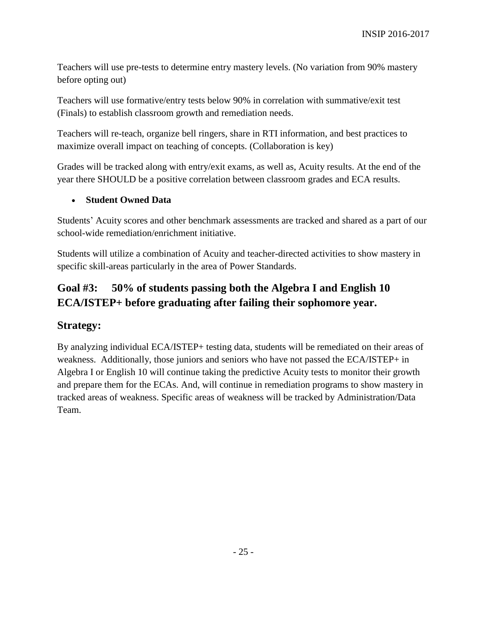Teachers will use pre-tests to determine entry mastery levels. (No variation from 90% mastery before opting out)

Teachers will use formative/entry tests below 90% in correlation with summative/exit test (Finals) to establish classroom growth and remediation needs.

Teachers will re-teach, organize bell ringers, share in RTI information, and best practices to maximize overall impact on teaching of concepts. (Collaboration is key)

Grades will be tracked along with entry/exit exams, as well as, Acuity results. At the end of the year there SHOULD be a positive correlation between classroom grades and ECA results.

### **Student Owned Data**

Students' Acuity scores and other benchmark assessments are tracked and shared as a part of our school-wide remediation/enrichment initiative.

Students will utilize a combination of Acuity and teacher-directed activities to show mastery in specific skill-areas particularly in the area of Power Standards.

## **Goal #3: 50% of students passing both the Algebra I and English 10 ECA/ISTEP+ before graduating after failing their sophomore year.**

### **Strategy:**

By analyzing individual ECA/ISTEP+ testing data, students will be remediated on their areas of weakness. Additionally, those juniors and seniors who have not passed the ECA/ISTEP+ in Algebra I or English 10 will continue taking the predictive Acuity tests to monitor their growth and prepare them for the ECAs. And, will continue in remediation programs to show mastery in tracked areas of weakness. Specific areas of weakness will be tracked by Administration/Data Team.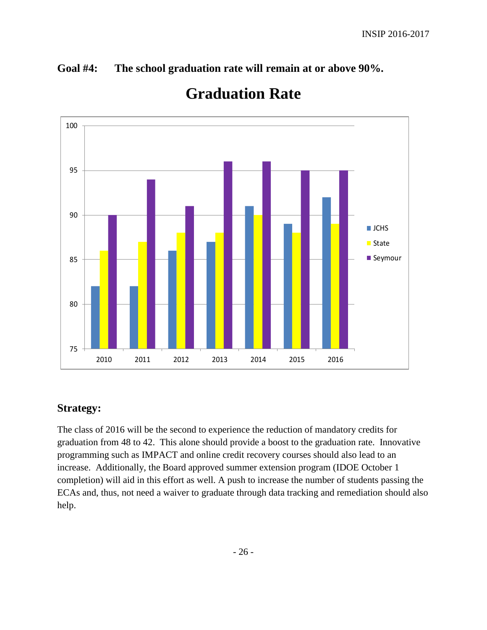## **Goal #4: The school graduation rate will remain at or above 90%.**



# **Graduation Rate**

## **Strategy:**

The class of 2016 will be the second to experience the reduction of mandatory credits for graduation from 48 to 42. This alone should provide a boost to the graduation rate. Innovative programming such as IMPACT and online credit recovery courses should also lead to an increase. Additionally, the Board approved summer extension program (IDOE October 1 completion) will aid in this effort as well. A push to increase the number of students passing the ECAs and, thus, not need a waiver to graduate through data tracking and remediation should also help.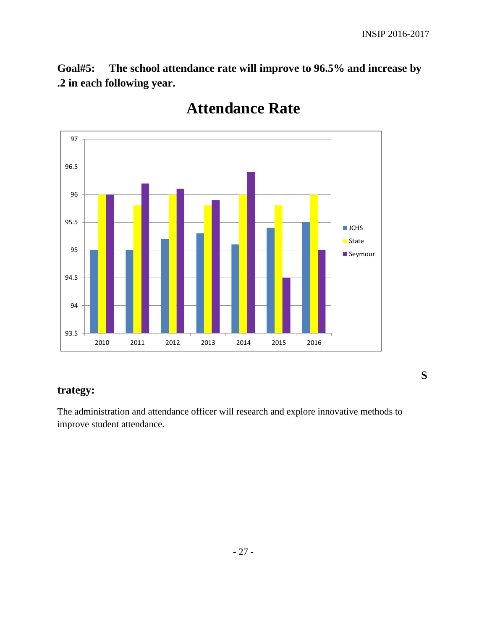**S**

**Goal#5: The school attendance rate will improve to 96.5% and increase by .2 in each following year.**



## **Attendance Rate**

### **trategy:**

The administration and attendance officer will research and explore innovative methods to improve student attendance.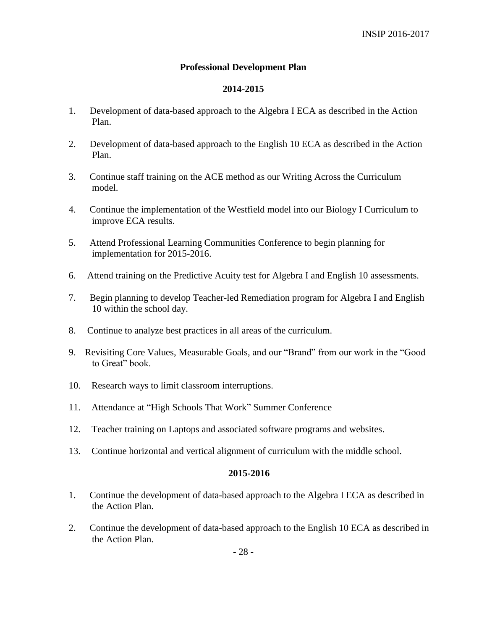#### **Professional Development Plan**

#### **2014-2015**

- 1. Development of data-based approach to the Algebra I ECA as described in the Action Plan.
- 2. Development of data-based approach to the English 10 ECA as described in the Action Plan.
- 3. Continue staff training on the ACE method as our Writing Across the Curriculum model.
- 4. Continue the implementation of the Westfield model into our Biology I Curriculum to improve ECA results.
- 5. Attend Professional Learning Communities Conference to begin planning for implementation for 2015-2016.
- 6. Attend training on the Predictive Acuity test for Algebra I and English 10 assessments.
- 7. Begin planning to develop Teacher-led Remediation program for Algebra I and English 10 within the school day.
- 8. Continue to analyze best practices in all areas of the curriculum.
- 9. Revisiting Core Values, Measurable Goals, and our "Brand" from our work in the "Good to Great" book.
- 10. Research ways to limit classroom interruptions.
- 11. Attendance at "High Schools That Work" Summer Conference
- 12. Teacher training on Laptops and associated software programs and websites.
- 13. Continue horizontal and vertical alignment of curriculum with the middle school.

#### **2015-2016**

- 1. Continue the development of data-based approach to the Algebra I ECA as described in the Action Plan.
- 2. Continue the development of data-based approach to the English 10 ECA as described in the Action Plan.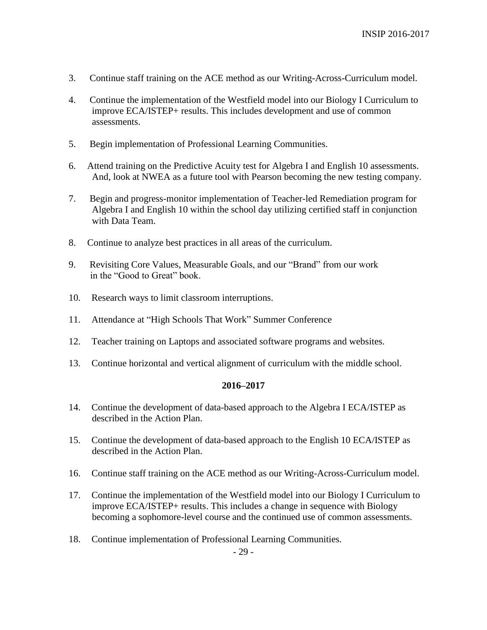- 3. Continue staff training on the ACE method as our Writing-Across-Curriculum model.
- 4. Continue the implementation of the Westfield model into our Biology I Curriculum to improve ECA/ISTEP+ results. This includes development and use of common assessments.
- 5. Begin implementation of Professional Learning Communities.
- 6. Attend training on the Predictive Acuity test for Algebra I and English 10 assessments. And, look at NWEA as a future tool with Pearson becoming the new testing company.
- 7. Begin and progress-monitor implementation of Teacher-led Remediation program for Algebra I and English 10 within the school day utilizing certified staff in conjunction with Data Team.
- 8. Continue to analyze best practices in all areas of the curriculum.
- 9. Revisiting Core Values, Measurable Goals, and our "Brand" from our work in the "Good to Great" book.
- 10. Research ways to limit classroom interruptions.
- 11. Attendance at "High Schools That Work" Summer Conference
- 12. Teacher training on Laptops and associated software programs and websites.
- 13. Continue horizontal and vertical alignment of curriculum with the middle school.

#### **2016–2017**

- 14. Continue the development of data-based approach to the Algebra I ECA/ISTEP as described in the Action Plan.
- 15. Continue the development of data-based approach to the English 10 ECA/ISTEP as described in the Action Plan.
- 16. Continue staff training on the ACE method as our Writing-Across-Curriculum model.
- 17. Continue the implementation of the Westfield model into our Biology I Curriculum to improve ECA/ISTEP+ results. This includes a change in sequence with Biology becoming a sophomore-level course and the continued use of common assessments.
- 18. Continue implementation of Professional Learning Communities.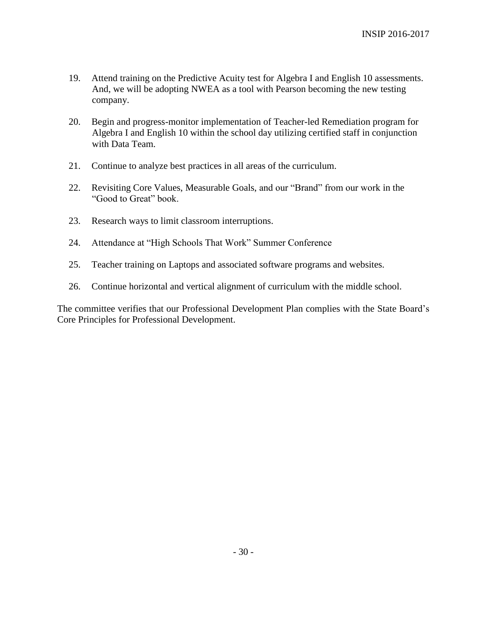- 19. Attend training on the Predictive Acuity test for Algebra I and English 10 assessments. And, we will be adopting NWEA as a tool with Pearson becoming the new testing company.
- 20. Begin and progress-monitor implementation of Teacher-led Remediation program for Algebra I and English 10 within the school day utilizing certified staff in conjunction with Data Team.
- 21. Continue to analyze best practices in all areas of the curriculum.
- 22. Revisiting Core Values, Measurable Goals, and our "Brand" from our work in the "Good to Great" book.
- 23. Research ways to limit classroom interruptions.
- 24. Attendance at "High Schools That Work" Summer Conference
- 25. Teacher training on Laptops and associated software programs and websites.
- 26. Continue horizontal and vertical alignment of curriculum with the middle school.

The committee verifies that our Professional Development Plan complies with the State Board's Core Principles for Professional Development.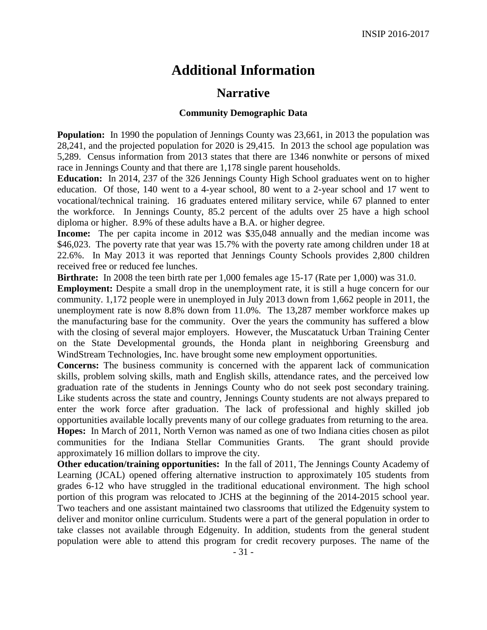## **Additional Information**

## **Narrative**

#### **Community Demographic Data**

**Population:** In 1990 the population of Jennings County was 23,661, in 2013 the population was 28,241, and the projected population for 2020 is 29,415. In 2013 the school age population was 5,289. Census information from 2013 states that there are 1346 nonwhite or persons of mixed race in Jennings County and that there are 1,178 single parent households.

**Education:** In 2014, 237 of the 326 Jennings County High School graduates went on to higher education. Of those, 140 went to a 4-year school, 80 went to a 2-year school and 17 went to vocational/technical training. 16 graduates entered military service, while 67 planned to enter the workforce. In Jennings County, 85.2 percent of the adults over 25 have a high school diploma or higher. 8.9% of these adults have a B.A. or higher degree.

**Income:** The per capita income in 2012 was \$35,048 annually and the median income was \$46,023. The poverty rate that year was 15.7% with the poverty rate among children under 18 at 22.6%. In May 2013 it was reported that Jennings County Schools provides 2,800 children received free or reduced fee lunches.

**Birthrate:** In 2008 the teen birth rate per 1,000 females age 15-17 (Rate per 1,000) was 31.0.

**Employment:** Despite a small drop in the unemployment rate, it is still a huge concern for our community. 1,172 people were in unemployed in July 2013 down from 1,662 people in 2011, the unemployment rate is now 8.8% down from 11.0%. The 13,287 member workforce makes up the manufacturing base for the community. Over the years the community has suffered a blow with the closing of several major employers. However, the Muscatatuck Urban Training Center on the State Developmental grounds, the Honda plant in neighboring Greensburg and WindStream Technologies, Inc. have brought some new employment opportunities.

**Concerns:** The business community is concerned with the apparent lack of communication skills, problem solving skills, math and English skills, attendance rates, and the perceived low graduation rate of the students in Jennings County who do not seek post secondary training. Like students across the state and country, Jennings County students are not always prepared to enter the work force after graduation. The lack of professional and highly skilled job opportunities available locally prevents many of our college graduates from returning to the area. **Hopes:** In March of 2011, North Vernon was named as one of two Indiana cities chosen as pilot communities for the Indiana Stellar Communities Grants. The grant should provide approximately 16 million dollars to improve the city.

**Other education/training opportunities:** In the fall of 2011, The Jennings County Academy of Learning (JCAL) opened offering alternative instruction to approximately 105 students from grades 6-12 who have struggled in the traditional educational environment. The high school portion of this program was relocated to JCHS at the beginning of the 2014-2015 school year. Two teachers and one assistant maintained two classrooms that utilized the Edgenuity system to deliver and monitor online curriculum. Students were a part of the general population in order to take classes not available through Edgenuity. In addition, students from the general student population were able to attend this program for credit recovery purposes. The name of the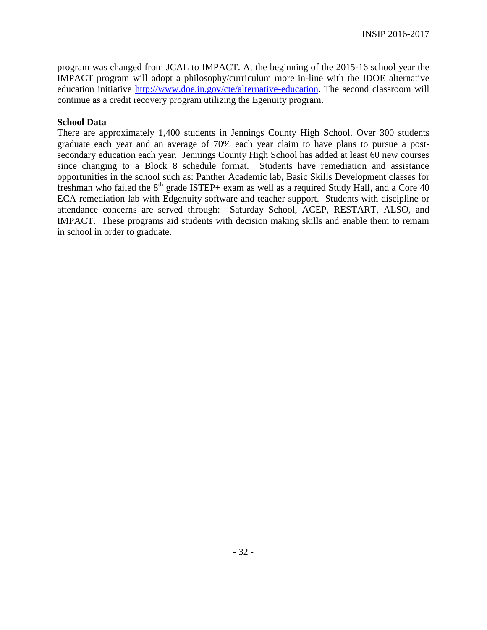program was changed from JCAL to IMPACT. At the beginning of the 2015-16 school year the IMPACT program will adopt a philosophy/curriculum more in-line with the IDOE alternative education initiative [http://www.doe.in.gov/cte/alternative-education.](http://www.doe.in.gov/cte/alternative-education) The second classroom will continue as a credit recovery program utilizing the Egenuity program.

#### **School Data**

There are approximately 1,400 students in Jennings County High School. Over 300 students graduate each year and an average of 70% each year claim to have plans to pursue a postsecondary education each year. Jennings County High School has added at least 60 new courses since changing to a Block 8 schedule format. Students have remediation and assistance opportunities in the school such as: Panther Academic lab, Basic Skills Development classes for freshman who failed the  $8<sup>th</sup>$  grade ISTEP+ exam as well as a required Study Hall, and a Core 40 ECA remediation lab with Edgenuity software and teacher support. Students with discipline or attendance concerns are served through: Saturday School, ACEP, RESTART, ALSO, and IMPACT. These programs aid students with decision making skills and enable them to remain in school in order to graduate.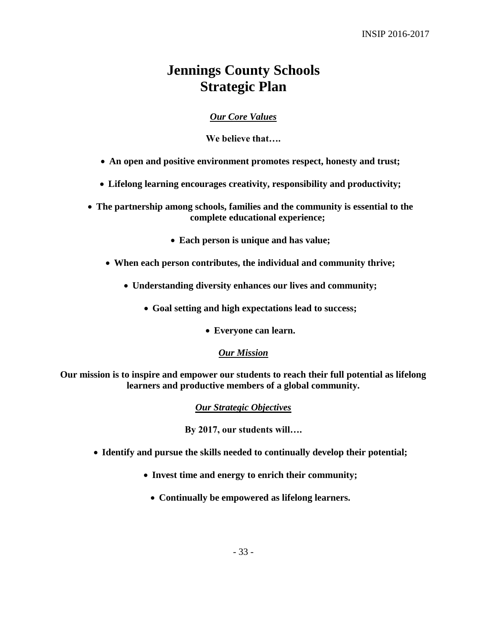## **Jennings County Schools Strategic Plan**

### *Our Core Values*

**We believe that….**

- **An open and positive environment promotes respect, honesty and trust;**
- **Lifelong learning encourages creativity, responsibility and productivity;**

 **The partnership among schools, families and the community is essential to the complete educational experience;**

- **Each person is unique and has value;**
- **When each person contributes, the individual and community thrive;**
	- **Understanding diversity enhances our lives and community;**
		- **Goal setting and high expectations lead to success;**
			- **Everyone can learn.**

#### *Our Mission*

**Our mission is to inspire and empower our students to reach their full potential as lifelong learners and productive members of a global community.**

*Our Strategic Objectives*

**By 2017, our students will….**

- **Identify and pursue the skills needed to continually develop their potential;**
	- **Invest time and energy to enrich their community;**
		- **Continually be empowered as lifelong learners.**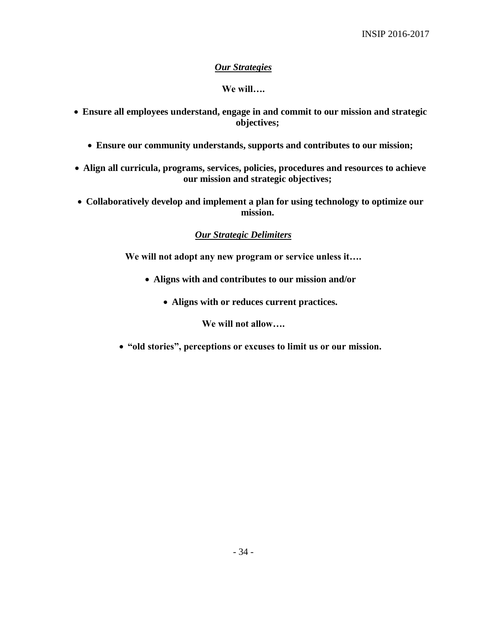### *Our Strategies*

### **We will….**

- **Ensure all employees understand, engage in and commit to our mission and strategic objectives;**
	- **Ensure our community understands, supports and contributes to our mission;**
- **Align all curricula, programs, services, policies, procedures and resources to achieve our mission and strategic objectives;**
- **Collaboratively develop and implement a plan for using technology to optimize our mission.**

### *Our Strategic Delimiters*

**We will not adopt any new program or service unless it….**

- **Aligns with and contributes to our mission and/or**
	- **Aligns with or reduces current practices.**

**We will not allow….**

**"old stories", perceptions or excuses to limit us or our mission.**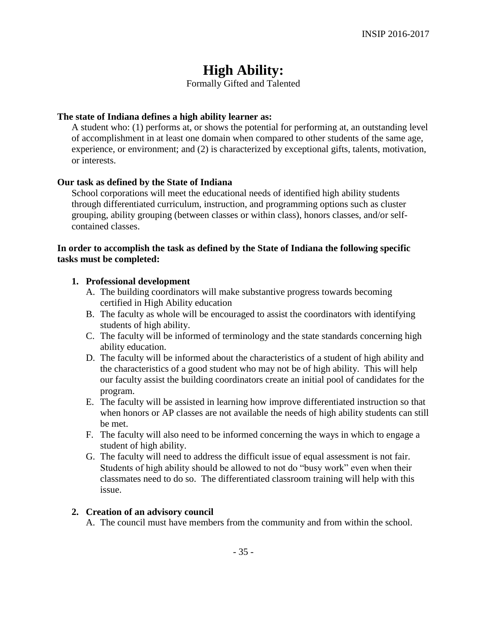## **High Ability:**

Formally Gifted and Talented

#### **The state of Indiana defines a high ability learner as:**

A student who: (1) performs at, or shows the potential for performing at, an outstanding level of accomplishment in at least one domain when compared to other students of the same age, experience, or environment; and (2) is characterized by exceptional gifts, talents, motivation, or interests.

#### **Our task as defined by the State of Indiana**

School corporations will meet the educational needs of identified high ability students through differentiated curriculum, instruction, and programming options such as cluster grouping, ability grouping (between classes or within class), honors classes, and/or selfcontained classes.

#### **In order to accomplish the task as defined by the State of Indiana the following specific tasks must be completed:**

#### **1. Professional development**

- A. The building coordinators will make substantive progress towards becoming certified in High Ability education
- B. The faculty as whole will be encouraged to assist the coordinators with identifying students of high ability.
- C. The faculty will be informed of terminology and the state standards concerning high ability education.
- D. The faculty will be informed about the characteristics of a student of high ability and the characteristics of a good student who may not be of high ability. This will help our faculty assist the building coordinators create an initial pool of candidates for the program.
- E. The faculty will be assisted in learning how improve differentiated instruction so that when honors or AP classes are not available the needs of high ability students can still be met.
- F. The faculty will also need to be informed concerning the ways in which to engage a student of high ability.
- G. The faculty will need to address the difficult issue of equal assessment is not fair. Students of high ability should be allowed to not do "busy work" even when their classmates need to do so. The differentiated classroom training will help with this issue.

#### **2. Creation of an advisory council**

A. The council must have members from the community and from within the school.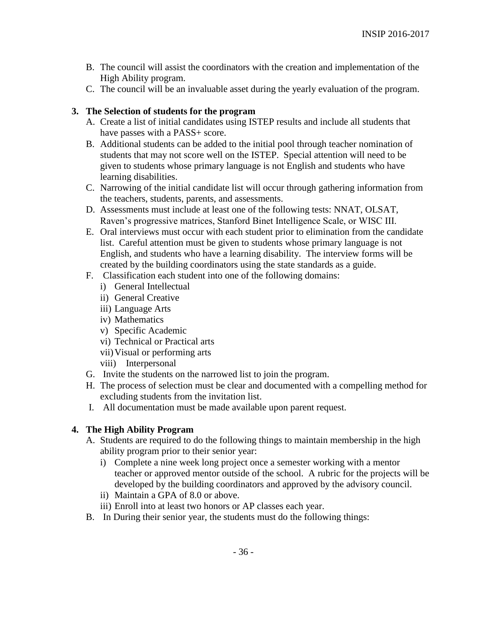- B. The council will assist the coordinators with the creation and implementation of the High Ability program.
- C. The council will be an invaluable asset during the yearly evaluation of the program.

#### **3. The Selection of students for the program**

- A. Create a list of initial candidates using ISTEP results and include all students that have passes with a PASS+ score.
- B. Additional students can be added to the initial pool through teacher nomination of students that may not score well on the ISTEP. Special attention will need to be given to students whose primary language is not English and students who have learning disabilities.
- C. Narrowing of the initial candidate list will occur through gathering information from the teachers, students, parents, and assessments.
- D. Assessments must include at least one of the following tests: NNAT, OLSAT, Raven's progressive matrices, Stanford Binet Intelligence Scale, or WISC III.
- E. Oral interviews must occur with each student prior to elimination from the candidate list. Careful attention must be given to students whose primary language is not English, and students who have a learning disability. The interview forms will be created by the building coordinators using the state standards as a guide.
- F. Classification each student into one of the following domains:
	- i) General Intellectual
	- ii) General Creative
	- iii) Language Arts
	- iv) Mathematics
	- v) Specific Academic
	- vi) Technical or Practical arts
	- vii)Visual or performing arts
	- viii) Interpersonal
- G. Invite the students on the narrowed list to join the program.
- H. The process of selection must be clear and documented with a compelling method for excluding students from the invitation list.
- I. All documentation must be made available upon parent request.

### **4. The High Ability Program**

- A. Students are required to do the following things to maintain membership in the high ability program prior to their senior year:
	- i) Complete a nine week long project once a semester working with a mentor teacher or approved mentor outside of the school. A rubric for the projects will be developed by the building coordinators and approved by the advisory council.
	- ii) Maintain a GPA of 8.0 or above.
	- iii) Enroll into at least two honors or AP classes each year.
- B. In During their senior year, the students must do the following things: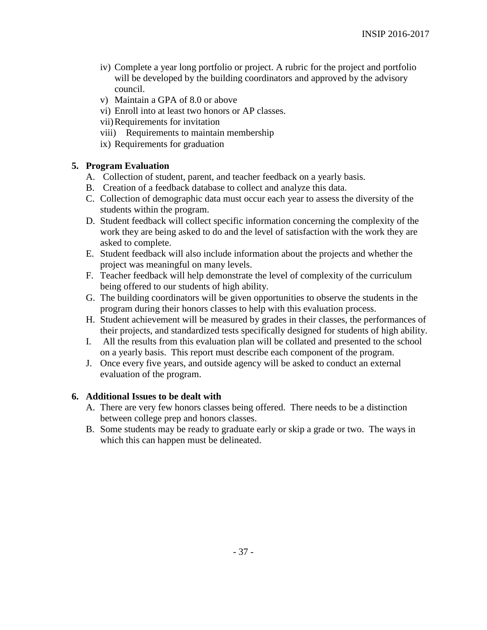- iv) Complete a year long portfolio or project. A rubric for the project and portfolio will be developed by the building coordinators and approved by the advisory council.
- v) Maintain a GPA of 8.0 or above
- vi) Enroll into at least two honors or AP classes.
- vii)Requirements for invitation
- viii) Requirements to maintain membership
- ix) Requirements for graduation

#### **5. Program Evaluation**

- A. Collection of student, parent, and teacher feedback on a yearly basis.
- B. Creation of a feedback database to collect and analyze this data.
- C. Collection of demographic data must occur each year to assess the diversity of the students within the program.
- D. Student feedback will collect specific information concerning the complexity of the work they are being asked to do and the level of satisfaction with the work they are asked to complete.
- E. Student feedback will also include information about the projects and whether the project was meaningful on many levels.
- F. Teacher feedback will help demonstrate the level of complexity of the curriculum being offered to our students of high ability.
- G. The building coordinators will be given opportunities to observe the students in the program during their honors classes to help with this evaluation process.
- H. Student achievement will be measured by grades in their classes, the performances of their projects, and standardized tests specifically designed for students of high ability.
- I. All the results from this evaluation plan will be collated and presented to the school on a yearly basis. This report must describe each component of the program.
- J. Once every five years, and outside agency will be asked to conduct an external evaluation of the program.

#### **6. Additional Issues to be dealt with**

- A. There are very few honors classes being offered. There needs to be a distinction between college prep and honors classes.
- B. Some students may be ready to graduate early or skip a grade or two. The ways in which this can happen must be delineated.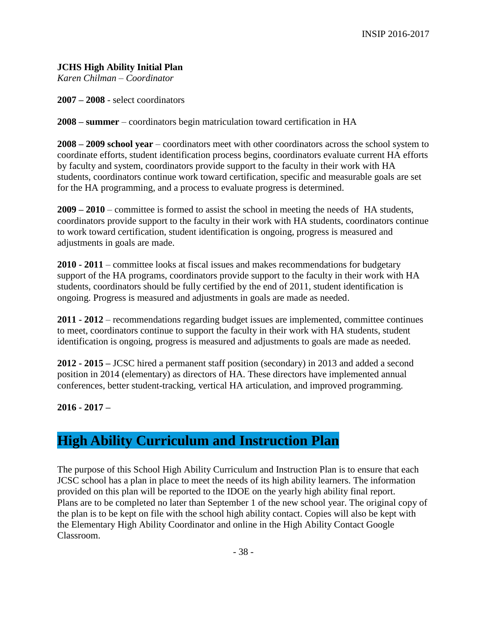### **JCHS High Ability Initial Plan**

*Karen Chilman – Coordinator*

**2007 – 2008** - select coordinators

**2008 – summer** – coordinators begin matriculation toward certification in HA

**2008 – 2009 school year** – coordinators meet with other coordinators across the school system to coordinate efforts, student identification process begins, coordinators evaluate current HA efforts by faculty and system, coordinators provide support to the faculty in their work with HA students, coordinators continue work toward certification, specific and measurable goals are set for the HA programming, and a process to evaluate progress is determined.

**2009 – 2010** – committee is formed to assist the school in meeting the needs of HA students, coordinators provide support to the faculty in their work with HA students, coordinators continue to work toward certification, student identification is ongoing, progress is measured and adjustments in goals are made.

**2010 - 2011** – committee looks at fiscal issues and makes recommendations for budgetary support of the HA programs, coordinators provide support to the faculty in their work with HA students, coordinators should be fully certified by the end of 2011, student identification is ongoing. Progress is measured and adjustments in goals are made as needed.

**2011 - 2012** – recommendations regarding budget issues are implemented, committee continues to meet, coordinators continue to support the faculty in their work with HA students, student identification is ongoing, progress is measured and adjustments to goals are made as needed.

**2012 - 2015 –** JCSC hired a permanent staff position (secondary) in 2013 and added a second position in 2014 (elementary) as directors of HA. These directors have implemented annual conferences, better student-tracking, vertical HA articulation, and improved programming.

**2016 - 2017 –** 

## **High Ability Curriculum and Instruction Plan**

The purpose of this School High Ability Curriculum and Instruction Plan is to ensure that each JCSC school has a plan in place to meet the needs of its high ability learners. The information provided on this plan will be reported to the IDOE on the yearly high ability final report. Plans are to be completed no later than September 1 of the new school year. The original copy of the plan is to be kept on file with the school high ability contact. Copies will also be kept with the Elementary High Ability Coordinator and online in the High Ability Contact Google Classroom.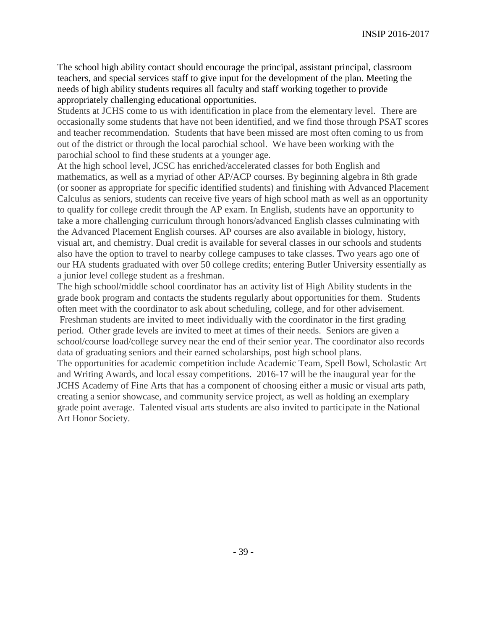The school high ability contact should encourage the principal, assistant principal, classroom teachers, and special services staff to give input for the development of the plan. Meeting the needs of high ability students requires all faculty and staff working together to provide appropriately challenging educational opportunities.

Students at JCHS come to us with identification in place from the elementary level. There are occasionally some students that have not been identified, and we find those through PSAT scores and teacher recommendation. Students that have been missed are most often coming to us from out of the district or through the local parochial school. We have been working with the parochial school to find these students at a younger age.

At the high school level, JCSC has enriched/accelerated classes for both English and mathematics, as well as a myriad of other AP/ACP courses. By beginning algebra in 8th grade (or sooner as appropriate for specific identified students) and finishing with Advanced Placement Calculus as seniors, students can receive five years of high school math as well as an opportunity to qualify for college credit through the AP exam. In English, students have an opportunity to take a more challenging curriculum through honors/advanced English classes culminating with the Advanced Placement English courses. AP courses are also available in biology, history, visual art, and chemistry. Dual credit is available for several classes in our schools and students also have the option to travel to nearby college campuses to take classes. Two years ago one of our HA students graduated with over 50 college credits; entering Butler University essentially as a junior level college student as a freshman.

The high school/middle school coordinator has an activity list of High Ability students in the grade book program and contacts the students regularly about opportunities for them. Students often meet with the coordinator to ask about scheduling, college, and for other advisement.

Freshman students are invited to meet individually with the coordinator in the first grading period. Other grade levels are invited to meet at times of their needs. Seniors are given a school/course load/college survey near the end of their senior year. The coordinator also records data of graduating seniors and their earned scholarships, post high school plans.

The opportunities for academic competition include Academic Team, Spell Bowl, Scholastic Art and Writing Awards, and local essay competitions. 2016-17 will be the inaugural year for the JCHS Academy of Fine Arts that has a component of choosing either a music or visual arts path, creating a senior showcase, and community service project, as well as holding an exemplary grade point average. Talented visual arts students are also invited to participate in the National Art Honor Society.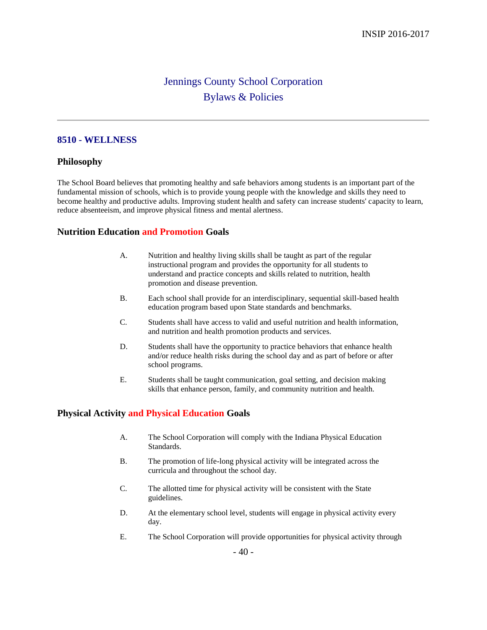## Jennings County School Corporation Bylaws & Policies

#### **8510 - WELLNESS**

#### **Philosophy**

The School Board believes that promoting healthy and safe behaviors among students is an important part of the fundamental mission of schools, which is to provide young people with the knowledge and skills they need to become healthy and productive adults. Improving student health and safety can increase students' capacity to learn, reduce absenteeism, and improve physical fitness and mental alertness.

#### **Nutrition Education and Promotion Goals**

- A. Nutrition and healthy living skills shall be taught as part of the regular instructional program and provides the opportunity for all students to understand and practice concepts and skills related to nutrition, health promotion and disease prevention.
- B. Each school shall provide for an interdisciplinary, sequential skill-based health education program based upon State standards and benchmarks.
- C. Students shall have access to valid and useful nutrition and health information, and nutrition and health promotion products and services.
- D. Students shall have the opportunity to practice behaviors that enhance health and/or reduce health risks during the school day and as part of before or after school programs.
- E. Students shall be taught communication, goal setting, and decision making skills that enhance person, family, and community nutrition and health.

#### **Physical Activity and Physical Education Goals**

- A. The School Corporation will comply with the Indiana Physical Education Standards.
- B. The promotion of life-long physical activity will be integrated across the curricula and throughout the school day.
- C. The allotted time for physical activity will be consistent with the State guidelines.
- D. At the elementary school level, students will engage in physical activity every day.
- E. The School Corporation will provide opportunities for physical activity through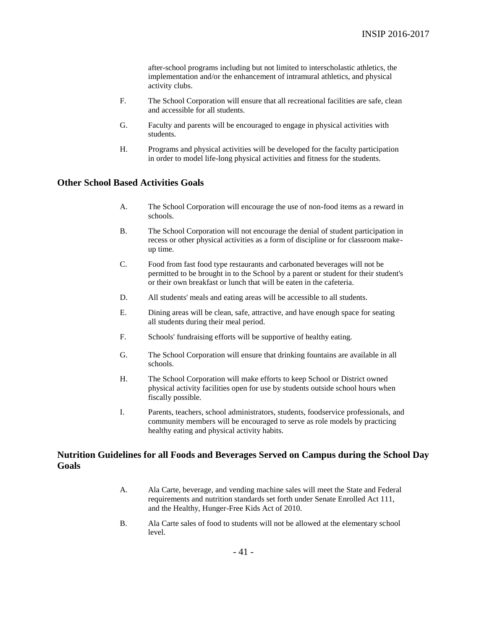after-school programs including but not limited to interscholastic athletics, the implementation and/or the enhancement of intramural athletics, and physical activity clubs.

- F. The School Corporation will ensure that all recreational facilities are safe, clean and accessible for all students.
- G. Faculty and parents will be encouraged to engage in physical activities with students.
- H. Programs and physical activities will be developed for the faculty participation in order to model life-long physical activities and fitness for the students.

#### **Other School Based Activities Goals**

- A. The School Corporation will encourage the use of non-food items as a reward in schools.
- B. The School Corporation will not encourage the denial of student participation in recess or other physical activities as a form of discipline or for classroom makeup time.
- C. Food from fast food type restaurants and carbonated beverages will not be permitted to be brought in to the School by a parent or student for their student's or their own breakfast or lunch that will be eaten in the cafeteria.
- D. All students' meals and eating areas will be accessible to all students.
- E. Dining areas will be clean, safe, attractive, and have enough space for seating all students during their meal period.
- F. Schools' fundraising efforts will be supportive of healthy eating.
- G. The School Corporation will ensure that drinking fountains are available in all schools.
- H. The School Corporation will make efforts to keep School or District owned physical activity facilities open for use by students outside school hours when fiscally possible.
- I. Parents, teachers, school administrators, students, foodservice professionals, and community members will be encouraged to serve as role models by practicing healthy eating and physical activity habits.

#### **Nutrition Guidelines for all Foods and Beverages Served on Campus during the School Day Goals**

- A. Ala Carte, beverage, and vending machine sales will meet the State and Federal requirements and nutrition standards set forth under Senate Enrolled Act 111, and the Healthy, Hunger-Free Kids Act of 2010.
- B. Ala Carte sales of food to students will not be allowed at the elementary school level.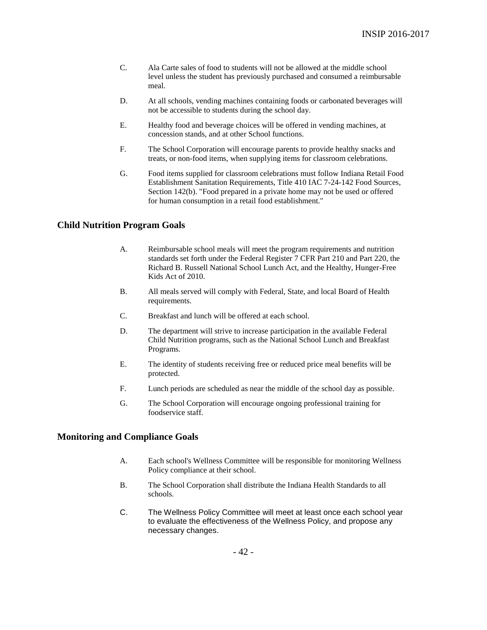- C. Ala Carte sales of food to students will not be allowed at the middle school level unless the student has previously purchased and consumed a reimbursable meal.
- D. At all schools, vending machines containing foods or carbonated beverages will not be accessible to students during the school day.
- E. Healthy food and beverage choices will be offered in vending machines, at concession stands, and at other School functions.
- F. The School Corporation will encourage parents to provide healthy snacks and treats, or non-food items, when supplying items for classroom celebrations.
- G. Food items supplied for classroom celebrations must follow Indiana Retail Food Establishment Sanitation Requirements, Title 410 IAC 7-24-142 Food Sources, Section 142(b). "Food prepared in a private home may not be used or offered for human consumption in a retail food establishment."

#### **Child Nutrition Program Goals**

- A. Reimbursable school meals will meet the program requirements and nutrition standards set forth under the Federal Register 7 CFR Part 210 and Part 220, the Richard B. Russell National School Lunch Act, and the Healthy, Hunger-Free Kids Act of 2010.
- B. All meals served will comply with Federal, State, and local Board of Health requirements.
- C. Breakfast and lunch will be offered at each school.
- D. The department will strive to increase participation in the available Federal Child Nutrition programs, such as the National School Lunch and Breakfast Programs.
- E. The identity of students receiving free or reduced price meal benefits will be protected.
- F. Lunch periods are scheduled as near the middle of the school day as possible.
- G. The School Corporation will encourage ongoing professional training for foodservice staff.

#### **Monitoring and Compliance Goals**

- A. Each school's Wellness Committee will be responsible for monitoring Wellness Policy compliance at their school.
- B. The School Corporation shall distribute the Indiana Health Standards to all schools.
- C. The Wellness Policy Committee will meet at least once each school year to evaluate the effectiveness of the Wellness Policy, and propose any necessary changes.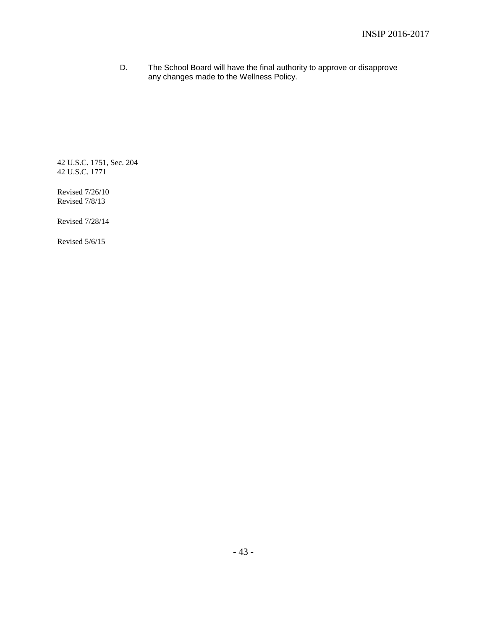D. The School Board will have the final authority to approve or disapprove any changes made to the Wellness Policy.

42 U.S.C. 1751, Sec. 204 42 U.S.C. 1771

Revised 7/26/10 Revised 7/8/13

Revised 7/28/14

Revised 5/6/15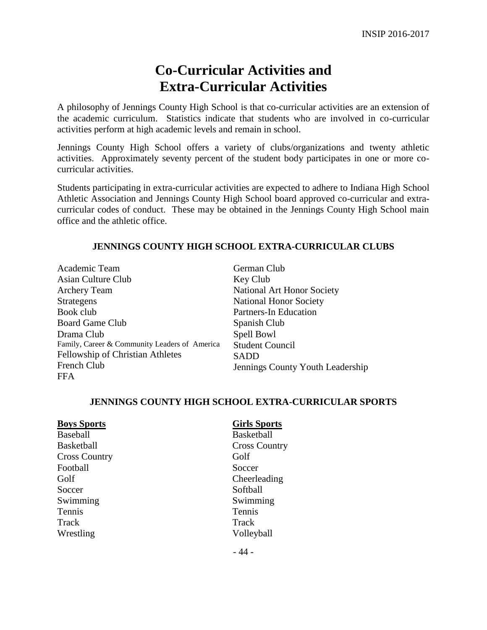## **Co-Curricular Activities and Extra-Curricular Activities**

A philosophy of Jennings County High School is that co-curricular activities are an extension of the academic curriculum. Statistics indicate that students who are involved in co-curricular activities perform at high academic levels and remain in school.

Jennings County High School offers a variety of clubs/organizations and twenty athletic activities. Approximately seventy percent of the student body participates in one or more cocurricular activities.

Students participating in extra-curricular activities are expected to adhere to Indiana High School Athletic Association and Jennings County High School board approved co-curricular and extracurricular codes of conduct. These may be obtained in the Jennings County High School main office and the athletic office.

#### **JENNINGS COUNTY HIGH SCHOOL EXTRA-CURRICULAR CLUBS**

Academic Team Asian Culture Club Archery Team Strategens Book club Board Game Club Drama Club Family, Career & Community Leaders of America Fellowship of Christian Athletes French Club **FFA** 

German Club Key Club National Art Honor Society National Honor Society Partners-In Education Spanish Club Spell Bowl Student Council SADD Jennings County Youth Leadership

#### **JENNINGS COUNTY HIGH SCHOOL EXTRA-CURRICULAR SPORTS**

| <b>Boys Sports</b>   | <b>Girls Sports</b>  |
|----------------------|----------------------|
| Baseball             | <b>Basketball</b>    |
| <b>Basketball</b>    | <b>Cross Country</b> |
| <b>Cross Country</b> | Golf                 |
| Football             | Soccer               |
| Golf                 | Cheerleading         |
| Soccer               | Softball             |
| Swimming             | Swimming             |
| <b>Tennis</b>        | Tennis               |
| Track                | Track                |
| Wrestling            | Volleyball           |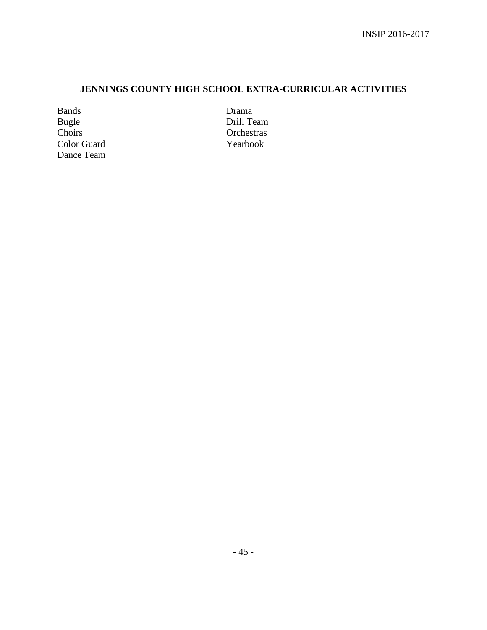## **JENNINGS COUNTY HIGH SCHOOL EXTRA-CURRICULAR ACTIVITIES**

Bands Bugle Choirs Color Guard Dance Team Drama Drill Team **Orchestras** Yearbook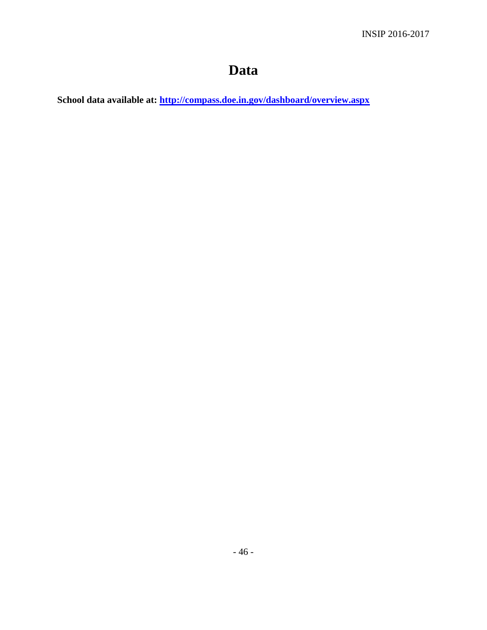# **Data**

**School data available at:<http://compass.doe.in.gov/dashboard/overview.aspx>**